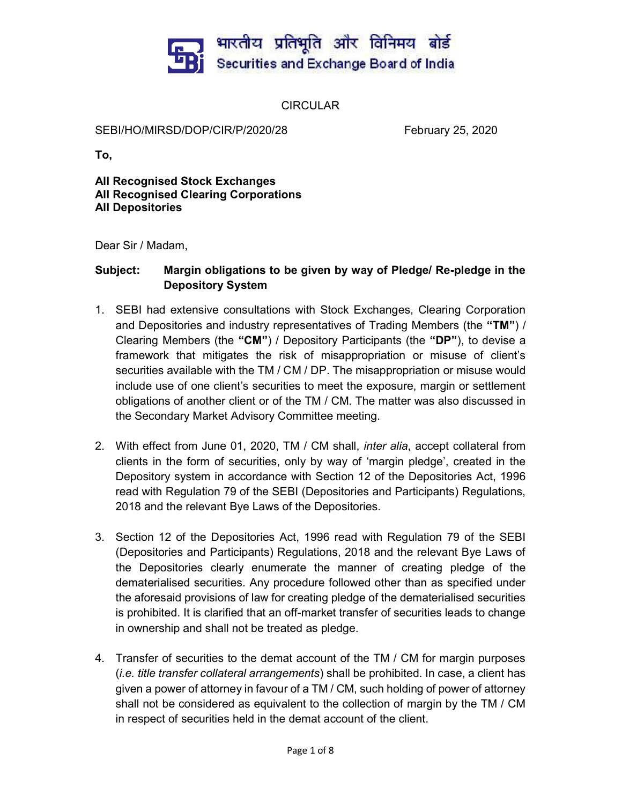

**CIRCULAR** 

SEBI/HO/MIRSD/DOP/CIR/P/2020/28 February 25, 2020

To,

All Recognised Stock Exchanges All Recognised Clearing Corporations All Depositories

Dear Sir / Madam,

# Subject: Margin obligations to be given by way of Pledge/ Re-pledge in the Depository System

- 1. SEBI had extensive consultations with Stock Exchanges, Clearing Corporation and Depositories and industry representatives of Trading Members (the "TM") / Clearing Members (the "CM") / Depository Participants (the "DP"), to devise a framework that mitigates the risk of misappropriation or misuse of client's securities available with the TM / CM / DP. The misappropriation or misuse would include use of one client's securities to meet the exposure, margin or settlement obligations of another client or of the TM / CM. The matter was also discussed in the Secondary Market Advisory Committee meeting.
- 2. With effect from June 01, 2020, TM / CM shall, *inter alia*, accept collateral from clients in the form of securities, only by way of 'margin pledge', created in the Depository system in accordance with Section 12 of the Depositories Act, 1996 read with Regulation 79 of the SEBI (Depositories and Participants) Regulations, 2018 and the relevant Bye Laws of the Depositories.
- 3. Section 12 of the Depositories Act, 1996 read with Regulation 79 of the SEBI (Depositories and Participants) Regulations, 2018 and the relevant Bye Laws of the Depositories clearly enumerate the manner of creating pledge of the dematerialised securities. Any procedure followed other than as specified under the aforesaid provisions of law for creating pledge of the dematerialised securities is prohibited. It is clarified that an off-market transfer of securities leads to change in ownership and shall not be treated as pledge.
- 4. Transfer of securities to the demat account of the TM / CM for margin purposes (i.e. title transfer collateral arrangements) shall be prohibited. In case, a client has given a power of attorney in favour of a TM / CM, such holding of power of attorney shall not be considered as equivalent to the collection of margin by the TM / CM in respect of securities held in the demat account of the client.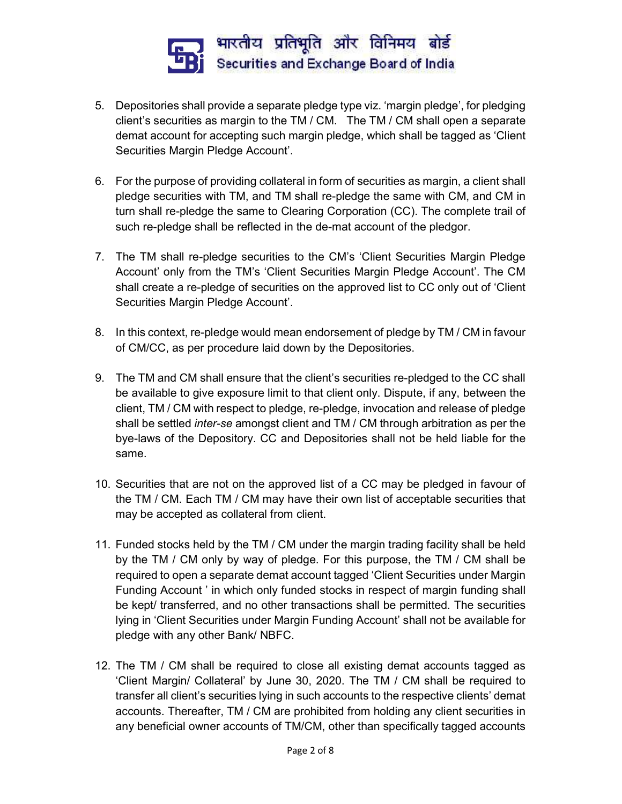

- 5. Depositories shall provide a separate pledge type viz. 'margin pledge', for pledging client's securities as margin to the TM / CM. The TM / CM shall open a separate demat account for accepting such margin pledge, which shall be tagged as 'Client Securities Margin Pledge Account'.
- 6. For the purpose of providing collateral in form of securities as margin, a client shall pledge securities with TM, and TM shall re-pledge the same with CM, and CM in turn shall re-pledge the same to Clearing Corporation (CC). The complete trail of such re-pledge shall be reflected in the de-mat account of the pledgor.
- 7. The TM shall re-pledge securities to the CM's 'Client Securities Margin Pledge Account' only from the TM's 'Client Securities Margin Pledge Account'. The CM shall create a re-pledge of securities on the approved list to CC only out of 'Client Securities Margin Pledge Account'.
- 8. In this context, re-pledge would mean endorsement of pledge by TM / CM in favour of CM/CC, as per procedure laid down by the Depositories.
- 9. The TM and CM shall ensure that the client's securities re-pledged to the CC shall be available to give exposure limit to that client only. Dispute, if any, between the client, TM / CM with respect to pledge, re-pledge, invocation and release of pledge shall be settled inter-se amongst client and TM / CM through arbitration as per the bye-laws of the Depository. CC and Depositories shall not be held liable for the same.
- 10. Securities that are not on the approved list of a CC may be pledged in favour of the TM / CM. Each TM / CM may have their own list of acceptable securities that may be accepted as collateral from client.
- 11. Funded stocks held by the TM / CM under the margin trading facility shall be held by the TM / CM only by way of pledge. For this purpose, the TM / CM shall be required to open a separate demat account tagged 'Client Securities under Margin Funding Account ' in which only funded stocks in respect of margin funding shall be kept/ transferred, and no other transactions shall be permitted. The securities lying in 'Client Securities under Margin Funding Account' shall not be available for pledge with any other Bank/ NBFC.
- 12. The TM / CM shall be required to close all existing demat accounts tagged as 'Client Margin/ Collateral' by June 30, 2020. The TM / CM shall be required to transfer all client's securities lying in such accounts to the respective clients' demat accounts. Thereafter, TM / CM are prohibited from holding any client securities in any beneficial owner accounts of TM/CM, other than specifically tagged accounts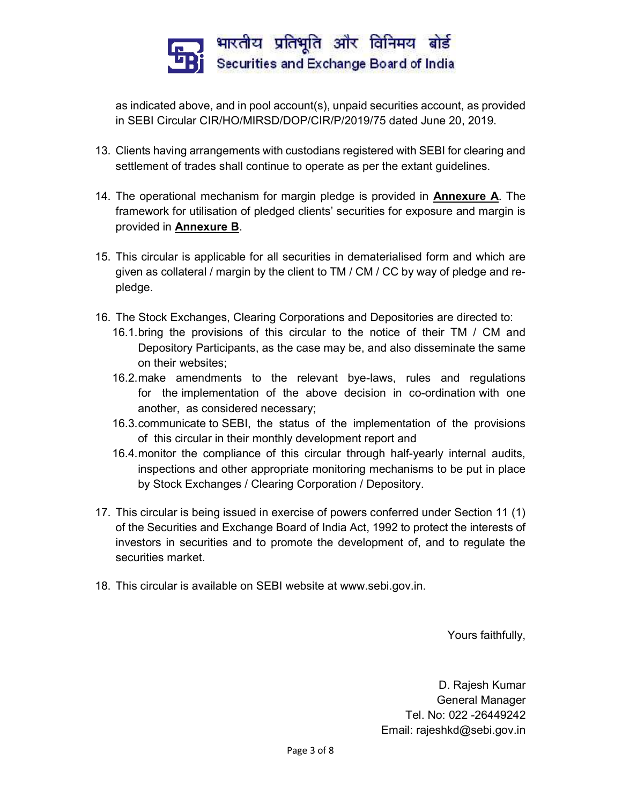

as indicated above, and in pool account(s), unpaid securities account, as provided in SEBI Circular CIR/HO/MIRSD/DOP/CIR/P/2019/75 dated June 20, 2019.

- 13. Clients having arrangements with custodians registered with SEBI for clearing and settlement of trades shall continue to operate as per the extant guidelines.
- 14. The operational mechanism for margin pledge is provided in Annexure A. The framework for utilisation of pledged clients' securities for exposure and margin is provided in Annexure B.
- 15. This circular is applicable for all securities in dematerialised form and which are given as collateral / margin by the client to TM / CM / CC by way of pledge and repledge.
- 16. The Stock Exchanges, Clearing Corporations and Depositories are directed to:
	- 16.1. bring the provisions of this circular to the notice of their TM / CM and Depository Participants, as the case may be, and also disseminate the same on their websites;
	- 16.2. make amendments to the relevant bye-laws, rules and regulations for the implementation of the above decision in co-ordination with one another, as considered necessary;
	- 16.3. communicate to SEBI, the status of the implementation of the provisions of this circular in their monthly development report and
	- 16.4. monitor the compliance of this circular through half-yearly internal audits, inspections and other appropriate monitoring mechanisms to be put in place by Stock Exchanges / Clearing Corporation / Depository.
- 17. This circular is being issued in exercise of powers conferred under Section 11 (1) of the Securities and Exchange Board of India Act, 1992 to protect the interests of investors in securities and to promote the development of, and to regulate the securities market.
- 18. This circular is available on SEBI website at www.sebi.gov.in.

Yours faithfully,

D. Rajesh Kumar General Manager Tel. No: 022 -26449242 Email: rajeshkd@sebi.gov.in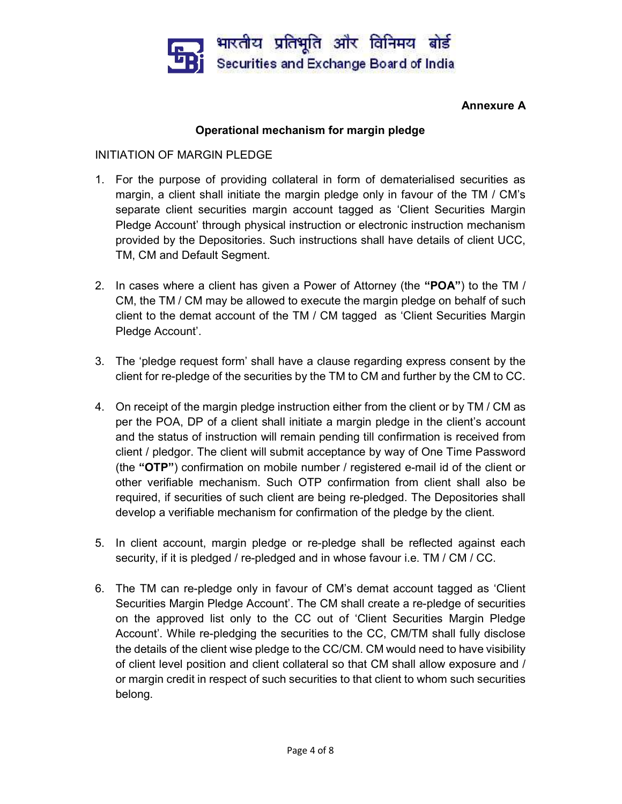

### Annexure A

# Operational mechanism for margin pledge

#### INITIATION OF MARGIN PLEDGE

- 1. For the purpose of providing collateral in form of dematerialised securities as margin, a client shall initiate the margin pledge only in favour of the TM / CM's separate client securities margin account tagged as 'Client Securities Margin Pledge Account' through physical instruction or electronic instruction mechanism provided by the Depositories. Such instructions shall have details of client UCC, TM, CM and Default Segment.
- 2. In cases where a client has given a Power of Attorney (the "POA") to the TM / CM, the TM / CM may be allowed to execute the margin pledge on behalf of such client to the demat account of the TM / CM tagged as 'Client Securities Margin Pledge Account'.
- 3. The 'pledge request form' shall have a clause regarding express consent by the client for re-pledge of the securities by the TM to CM and further by the CM to CC.
- 4. On receipt of the margin pledge instruction either from the client or by TM / CM as per the POA, DP of a client shall initiate a margin pledge in the client's account and the status of instruction will remain pending till confirmation is received from client / pledgor. The client will submit acceptance by way of One Time Password (the "OTP") confirmation on mobile number / registered e-mail id of the client or other verifiable mechanism. Such OTP confirmation from client shall also be required, if securities of such client are being re-pledged. The Depositories shall develop a verifiable mechanism for confirmation of the pledge by the client.
- 5. In client account, margin pledge or re-pledge shall be reflected against each security, if it is pledged / re-pledged and in whose favour i.e. TM / CM / CC.
- 6. The TM can re-pledge only in favour of CM's demat account tagged as 'Client Securities Margin Pledge Account'. The CM shall create a re-pledge of securities on the approved list only to the CC out of 'Client Securities Margin Pledge Account'. While re-pledging the securities to the CC, CM/TM shall fully disclose the details of the client wise pledge to the CC/CM. CM would need to have visibility of client level position and client collateral so that CM shall allow exposure and / or margin credit in respect of such securities to that client to whom such securities belong.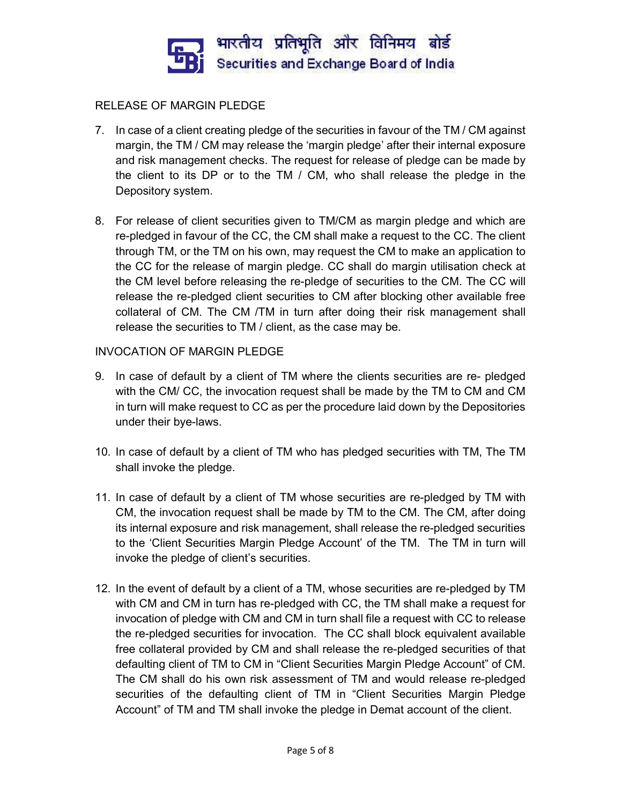

# RELEASE OF MARGIN PLEDGE

- 7. In case of a client creating pledge of the securities in favour of the TM / CM against margin, the TM / CM may release the 'margin pledge' after their internal exposure and risk management checks. The request for release of pledge can be made by the client to its DP or to the TM / CM, who shall release the pledge in the Depository system.
- 8. For release of client securities given to TM/CM as margin pledge and which are re-pledged in favour of the CC, the CM shall make a request to the CC. The client through TM, or the TM on his own, may request the CM to make an application to the CC for the release of margin pledge. CC shall do margin utilisation check at the CM level before releasing the re-pledge of securities to the CM. The CC will release the re-pledged client securities to CM after blocking other available free collateral of CM. The CM /TM in turn after doing their risk management shall release the securities to TM / client, as the case may be.

## INVOCATION OF MARGIN PLEDGE

- 9. In case of default by a client of TM where the clients securities are re- pledged with the CM/ CC, the invocation request shall be made by the TM to CM and CM in turn will make request to CC as per the procedure laid down by the Depositories under their bye-laws.
- 10. In case of default by a client of TM who has pledged securities with TM, The TM shall invoke the pledge.
- 11. In case of default by a client of TM whose securities are re-pledged by TM with CM, the invocation request shall be made by TM to the CM. The CM, after doing its internal exposure and risk management, shall release the re-pledged securities to the 'Client Securities Margin Pledge Account' of the TM. The TM in turn will invoke the pledge of client's securities.
- 12. In the event of default by a client of a TM, whose securities are re-pledged by TM with CM and CM in turn has re-pledged with CC, the TM shall make a request for invocation of pledge with CM and CM in turn shall file a request with CC to release the re-pledged securities for invocation. The CC shall block equivalent available free collateral provided by CM and shall release the re-pledged securities of that defaulting client of TM to CM in "Client Securities Margin Pledge Account" of CM. The CM shall do his own risk assessment of TM and would release re-pledged securities of the defaulting client of TM in "Client Securities Margin Pledge Account" of TM and TM shall invoke the pledge in Demat account of the client.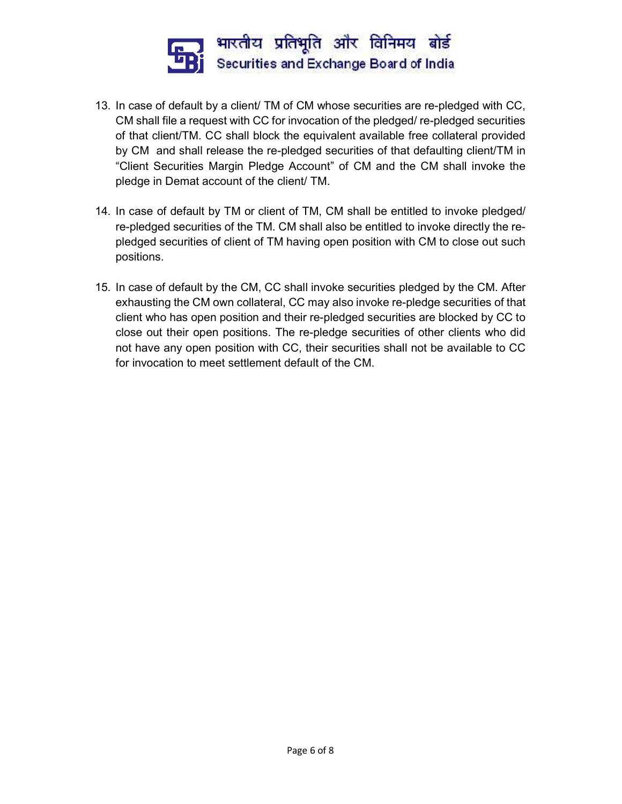

- 13. In case of default by a client/ TM of CM whose securities are re-pledged with CC, CM shall file a request with CC for invocation of the pledged/ re-pledged securities of that client/TM. CC shall block the equivalent available free collateral provided by CM and shall release the re-pledged securities of that defaulting client/TM in "Client Securities Margin Pledge Account" of CM and the CM shall invoke the pledge in Demat account of the client/ TM.
- 14. In case of default by TM or client of TM, CM shall be entitled to invoke pledged/ re-pledged securities of the TM. CM shall also be entitled to invoke directly the repledged securities of client of TM having open position with CM to close out such positions.
- 15. In case of default by the CM, CC shall invoke securities pledged by the CM. After exhausting the CM own collateral, CC may also invoke re-pledge securities of that client who has open position and their re-pledged securities are blocked by CC to close out their open positions. The re-pledge securities of other clients who did not have any open position with CC, their securities shall not be available to CC for invocation to meet settlement default of the CM.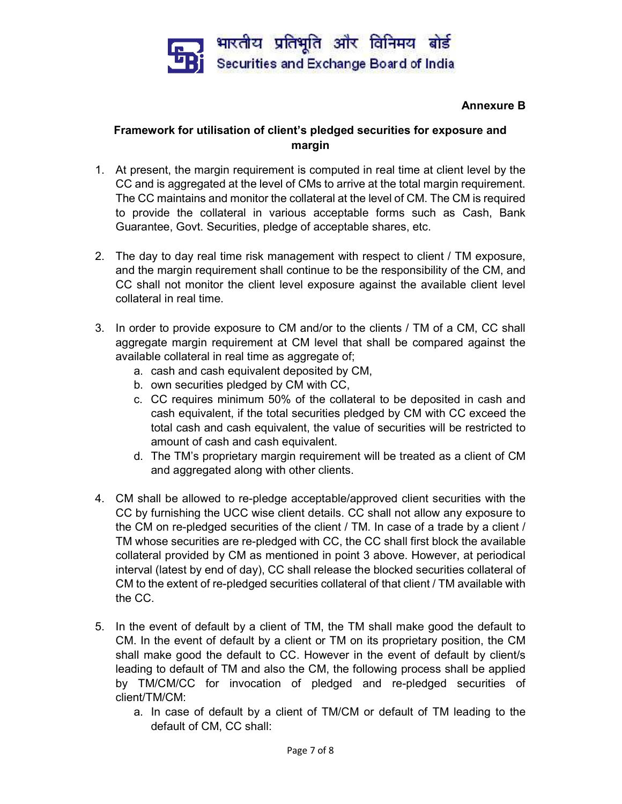

## Annexure B

# Framework for utilisation of client's pledged securities for exposure and margin

- 1. At present, the margin requirement is computed in real time at client level by the CC and is aggregated at the level of CMs to arrive at the total margin requirement. The CC maintains and monitor the collateral at the level of CM. The CM is required to provide the collateral in various acceptable forms such as Cash, Bank Guarantee, Govt. Securities, pledge of acceptable shares, etc.
- 2. The day to day real time risk management with respect to client / TM exposure, and the margin requirement shall continue to be the responsibility of the CM, and CC shall not monitor the client level exposure against the available client level collateral in real time.
- 3. In order to provide exposure to CM and/or to the clients / TM of a CM, CC shall aggregate margin requirement at CM level that shall be compared against the available collateral in real time as aggregate of;
	- a. cash and cash equivalent deposited by CM,
	- b. own securities pledged by CM with CC,
	- c. CC requires minimum 50% of the collateral to be deposited in cash and cash equivalent, if the total securities pledged by CM with CC exceed the total cash and cash equivalent, the value of securities will be restricted to amount of cash and cash equivalent.
	- d. The TM's proprietary margin requirement will be treated as a client of CM and aggregated along with other clients.
- 4. CM shall be allowed to re-pledge acceptable/approved client securities with the CC by furnishing the UCC wise client details. CC shall not allow any exposure to the CM on re-pledged securities of the client / TM. In case of a trade by a client / TM whose securities are re-pledged with CC, the CC shall first block the available collateral provided by CM as mentioned in point 3 above. However, at periodical interval (latest by end of day), CC shall release the blocked securities collateral of CM to the extent of re-pledged securities collateral of that client / TM available with the CC.
- 5. In the event of default by a client of TM, the TM shall make good the default to CM. In the event of default by a client or TM on its proprietary position, the CM shall make good the default to CC. However in the event of default by client/s leading to default of TM and also the CM, the following process shall be applied by TM/CM/CC for invocation of pledged and re-pledged securities of client/TM/CM:
	- a. In case of default by a client of TM/CM or default of TM leading to the default of CM, CC shall: